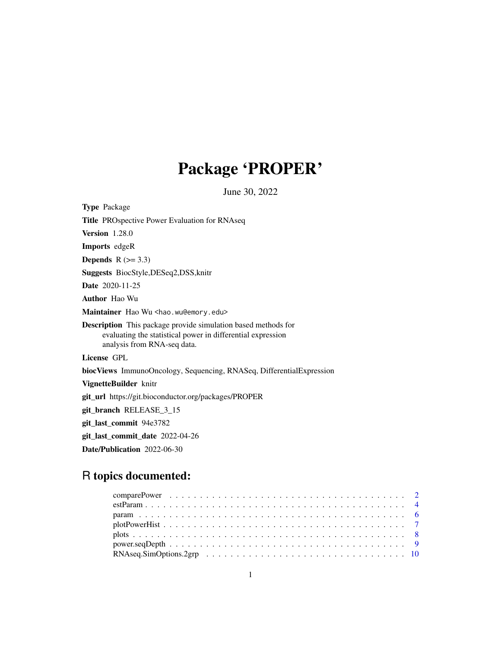# Package 'PROPER'

June 30, 2022

| <b>Type Package</b>                                                                                                                                                |
|--------------------------------------------------------------------------------------------------------------------------------------------------------------------|
| <b>Title PROspective Power Evaluation for RNAseq</b>                                                                                                               |
| <b>Version</b> 1.28.0                                                                                                                                              |
| <b>Imports</b> edgeR                                                                                                                                               |
| <b>Depends</b> $R$ ( $> = 3.3$ )                                                                                                                                   |
| Suggests BiocStyle, DESeq2, DSS, knitr                                                                                                                             |
| <b>Date</b> 2020-11-25                                                                                                                                             |
| <b>Author</b> Hao Wu                                                                                                                                               |
| Maintainer Hao Wu <hao.wu@emory.edu></hao.wu@emory.edu>                                                                                                            |
| <b>Description</b> This package provide simulation based methods for<br>evaluating the statistical power in differential expression<br>analysis from RNA-seq data. |
| License GPL                                                                                                                                                        |
| biocViews ImmunoOncology, Sequencing, RNASeq, DifferentialExpression                                                                                               |
| VignetteBuilder knitr                                                                                                                                              |
| git_url https://git.bioconductor.org/packages/PROPER                                                                                                               |
| git_branch RELEASE_3_15                                                                                                                                            |
| git_last_commit 94e3782                                                                                                                                            |
| git_last_commit_date 2022-04-26                                                                                                                                    |
| Date/Publication 2022-06-30                                                                                                                                        |

## R topics documented:

| $estParam \dots \dots \dots \dots \dots \dots \dots \dots \dots \dots \dots \dots \dots \dots \dots \dots \dots \dots$ |  |  |  |  |  |  |  |  |  |  |  |  |  |  |  |  |
|------------------------------------------------------------------------------------------------------------------------|--|--|--|--|--|--|--|--|--|--|--|--|--|--|--|--|
|                                                                                                                        |  |  |  |  |  |  |  |  |  |  |  |  |  |  |  |  |
|                                                                                                                        |  |  |  |  |  |  |  |  |  |  |  |  |  |  |  |  |
|                                                                                                                        |  |  |  |  |  |  |  |  |  |  |  |  |  |  |  |  |
|                                                                                                                        |  |  |  |  |  |  |  |  |  |  |  |  |  |  |  |  |
| $RNAseq.SimOptions.2grp \ldots \ldots \ldots \ldots \ldots \ldots \ldots \ldots \ldots \ldots \ldots 10$               |  |  |  |  |  |  |  |  |  |  |  |  |  |  |  |  |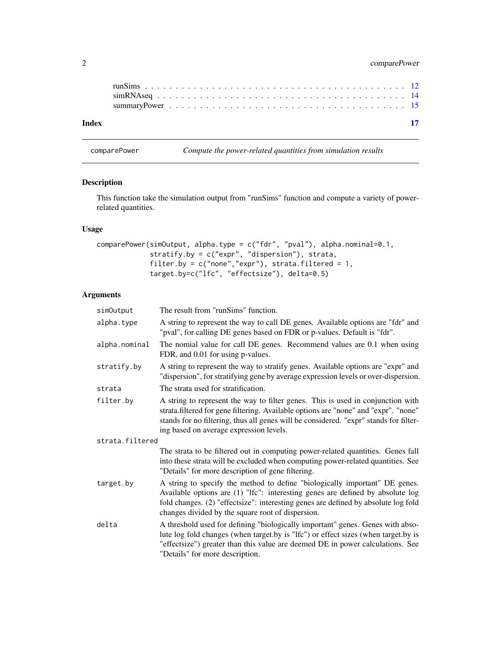### <span id="page-1-0"></span>2 comparePower

| Index |  |
|-------|--|
|       |  |
|       |  |

comparePower *Compute the power-related quantities from simulation results*

### Description

This function take the simulation output from "runSims" function and compute a variety of powerrelated quantities.

### Usage

```
comparePower(simOutput, alpha.type = c("fdr", "pval"), alpha.nominal=0.1,
             stratify.by = c("expr", "dispersion"), strata,
             filter.by = c("none", "expr"), strata.filtered = 1,
             target.by=c("lfc", "effectsize"), delta=0.5)
```
#### Arguments

| simOutput       | The result from "runSims" function.                                                                                                                                                                                                                                                                        |
|-----------------|------------------------------------------------------------------------------------------------------------------------------------------------------------------------------------------------------------------------------------------------------------------------------------------------------------|
| alpha.type      | A string to represent the way to call DE genes. Available options are "fdr" and<br>"pval", for calling DE genes based on FDR or p-values. Default is "fdr".                                                                                                                                                |
| alpha.nominal   | The nomial value for call DE genes. Recommend values are 0.1 when using<br>FDR, and 0.01 for using p-values.                                                                                                                                                                                               |
| stratify.by     | A string to represent the way to stratify genes. Available options are "expr" and<br>"dispersion", for stratifying gene by average expression levels or over-dispersion.                                                                                                                                   |
| strata          | The strata used for stratification.                                                                                                                                                                                                                                                                        |
| filter.by       | A string to represent the way to filter genes. This is used in conjunction with<br>strata.filtered for gene filtering. Available options are "none" and "expr". "none"<br>stands for no filtering, thus all genes will be considered. "expr" stands for filter-<br>ing based on average expression levels. |
| strata.filtered |                                                                                                                                                                                                                                                                                                            |
|                 | The strata to be filtered out in computing power-related quantities. Genes fall<br>into these strata will be excluded when computing power-related quantities. See<br>"Details" for more description of gene filtering.                                                                                    |
| target.by       | A string to specify the method to define "biologically important" DE genes.<br>Available options are (1) "Ifc": interesting genes are defined by absolute log<br>fold changes. (2) "effectsize": interesting genes are defined by absolute log fold<br>changes divided by the square root of dispersion.   |
| delta           | A threshold used for defining "biologically important" genes. Genes with abso-<br>lute log fold changes (when target.by is "Ifc") or effect sizes (when target.by is<br>"effectsize") greater than this value are deemed DE in power calculations. See<br>"Details" for more description.                  |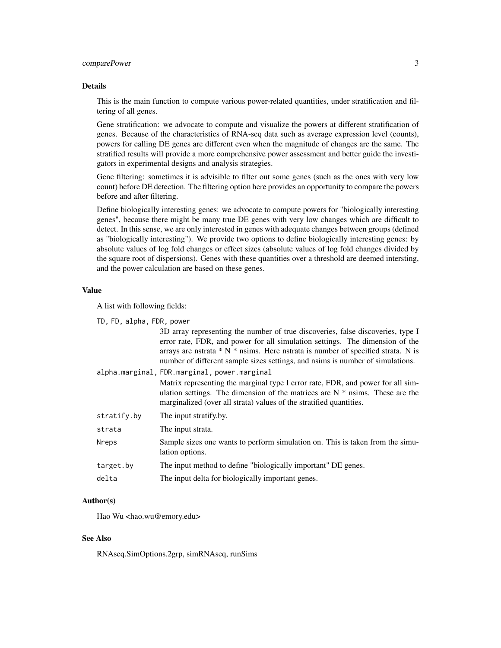#### comparePower 3

#### Details

This is the main function to compute various power-related quantities, under stratification and filtering of all genes.

Gene stratification: we advocate to compute and visualize the powers at different stratification of genes. Because of the characteristics of RNA-seq data such as average expression level (counts), powers for calling DE genes are different even when the magnitude of changes are the same. The stratified results will provide a more comprehensive power assessment and better guide the investigators in experimental designs and analysis strategies.

Gene filtering: sometimes it is advisible to filter out some genes (such as the ones with very low count) before DE detection. The filtering option here provides an opportunity to compare the powers before and after filtering.

Define biologically interesting genes: we advocate to compute powers for "biologically interesting genes", because there might be many true DE genes with very low changes which are difficult to detect. In this sense, we are only interested in genes with adequate changes between groups (defined as "biologically interesting"). We provide two options to define biologically interesting genes: by absolute values of log fold changes or effect sizes (absolute values of log fold changes divided by the square root of dispersions). Genes with these quantities over a threshold are deemed intersting, and the power calculation are based on these genes.

#### Value

A list with following fields:

|  | TD, FD, alpha, FDR, power |  |  |
|--|---------------------------|--|--|
|--|---------------------------|--|--|

3D array representing the number of true discoveries, false discoveries, type I error rate, FDR, and power for all simulation settings. The dimension of the arrays are nstrata \* N \* nsims. Here nstrata is number of specified strata. N is number of different sample sizes settings, and nsims is number of simulations. alpha.marginal, FDR.marginal, power.marginal

> Matrix representing the marginal type I error rate, FDR, and power for all simulation settings. The dimension of the matrices are  $N^*$  nsims. These are the marginalized (over all strata) values of the stratified quantities.

stratify.by The input stratify.by. strata The input strata. Nreps Sample sizes one wants to perform simulation on. This is taken from the simulation options. target.by The input method to define "biologically important" DE genes. delta The input delta for biologically important genes.

#### Author(s)

Hao Wu <hao.wu@emory.edu>

#### See Also

RNAseq.SimOptions.2grp, simRNAseq, runSims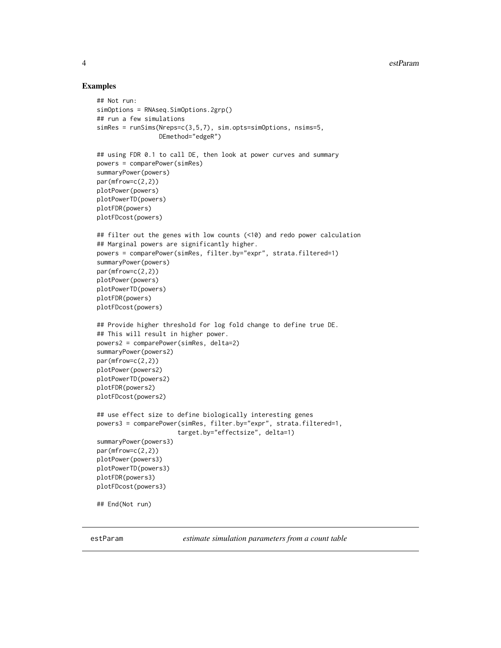#### Examples

```
## Not run:
simOptions = RNAseq.SimOptions.2grp()
## run a few simulations
simRes = runSims(Nreps=c(3,5,7), sim.opts=simOptions, nsims=5,
                 DEmethod="edgeR")
## using FDR 0.1 to call DE, then look at power curves and summary
powers = comparePower(simRes)
summaryPower(powers)
par(mfrow=c(2,2))
plotPower(powers)
plotPowerTD(powers)
plotFDR(powers)
plotFDcost(powers)
## filter out the genes with low counts (<10) and redo power calculation
## Marginal powers are significantly higher.
powers = comparePower(simRes, filter.by="expr", strata.filtered=1)
summaryPower(powers)
par(mfrow=c(2,2))
plotPower(powers)
plotPowerTD(powers)
plotFDR(powers)
plotFDcost(powers)
## Provide higher threshold for log fold change to define true DE.
## This will result in higher power.
powers2 = comparePower(simRes, delta=2)
summaryPower(powers2)
par(mfrow=c(2,2))
plotPower(powers2)
plotPowerTD(powers2)
plotFDR(powers2)
plotFDcost(powers2)
## use effect size to define biologically interesting genes
powers3 = comparePower(simRes, filter.by="expr", strata.filtered=1,
                      target.by="effectsize", delta=1)
summaryPower(powers3)
par(mfrow=c(2,2))
plotPower(powers3)
plotPowerTD(powers3)
plotFDR(powers3)
plotFDcost(powers3)
## End(Not run)
```
estParam *estimate simulation parameters from a count table*

<span id="page-3-0"></span>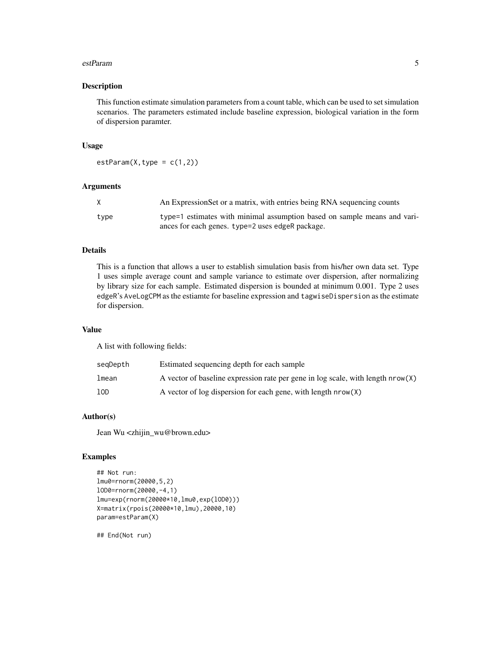#### estParam 5

#### Description

This function estimate simulation parameters from a count table, which can be used to set simulation scenarios. The parameters estimated include baseline expression, biological variation in the form of dispersion paramter.

#### Usage

 $estParam(X, type = c(1,2))$ 

#### Arguments

|      | An Expression Set or a matrix, with entries being RNA sequencing counts  |
|------|--------------------------------------------------------------------------|
| type | type=1 estimates with minimal assumption based on sample means and vari- |
|      | ances for each genes. type=2 uses edgeR package.                         |

#### Details

This is a function that allows a user to establish simulation basis from his/her own data set. Type 1 uses simple average count and sample variance to estimate over dispersion, after normalizing by library size for each sample. Estimated dispersion is bounded at minimum 0.001. Type 2 uses edgeR's AveLogCPM as the estiamte for baseline expression and tagwiseDispersion as the estimate for dispersion.

#### Value

A list with following fields:

| segDepth | Estimated sequencing depth for each sample                                        |
|----------|-----------------------------------------------------------------------------------|
| lmean    | A vector of baseline expression rate per gene in log scale, with length $nrow(X)$ |
| 10D      | A vector of log dispersion for each gene, with length $nrow(X)$                   |

#### Author(s)

Jean Wu <zhijin\_wu@brown.edu>

#### Examples

```
## Not run:
lmu0=rnorm(20000,5,2)
lOD0=rnorm(20000,-4,1)
lmu=exp(rnorm(20000*10,lmu0,exp(lOD0)))
X=matrix(rpois(20000*10,lmu),20000,10)
param=estParam(X)
```
## End(Not run)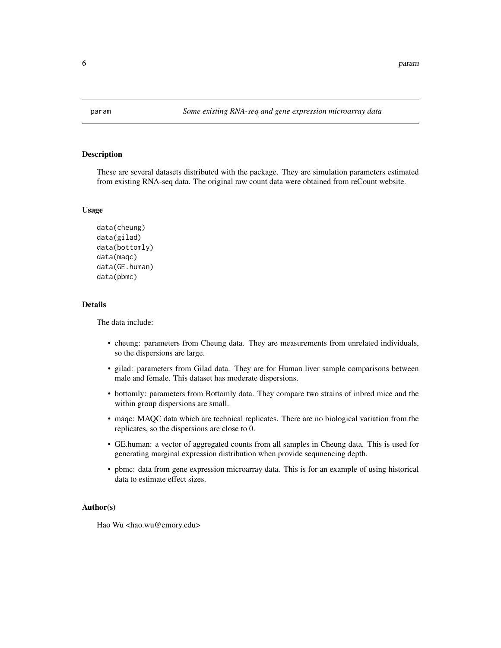<span id="page-5-0"></span>

#### Description

These are several datasets distributed with the package. They are simulation parameters estimated from existing RNA-seq data. The original raw count data were obtained from reCount website.

#### Usage

```
data(cheung)
data(gilad)
data(bottomly)
data(maqc)
data(GE.human)
data(pbmc)
```
#### Details

The data include:

- cheung: parameters from Cheung data. They are measurements from unrelated individuals, so the dispersions are large.
- gilad: parameters from Gilad data. They are for Human liver sample comparisons between male and female. This dataset has moderate dispersions.
- bottomly: parameters from Bottomly data. They compare two strains of inbred mice and the within group dispersions are small.
- maqc: MAQC data which are technical replicates. There are no biological variation from the replicates, so the dispersions are close to 0.
- GE.human: a vector of aggregated counts from all samples in Cheung data. This is used for generating marginal expression distribution when provide sequnencing depth.
- pbmc: data from gene expression microarray data. This is for an example of using historical data to estimate effect sizes.

#### Author(s)

Hao Wu <hao.wu@emory.edu>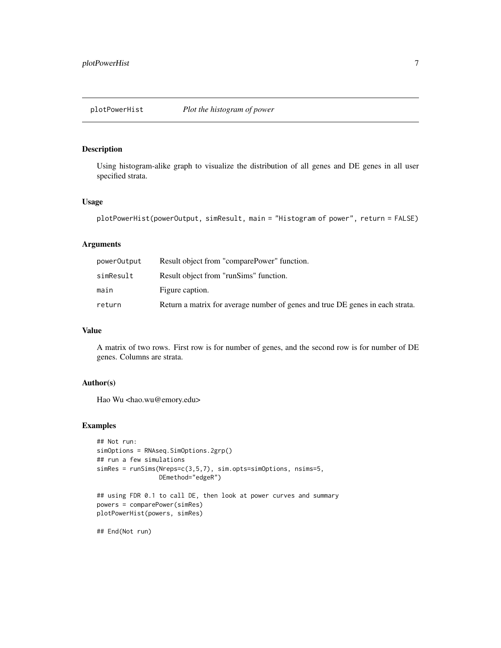#### <span id="page-6-0"></span>Description

Using histogram-alike graph to visualize the distribution of all genes and DE genes in all user specified strata.

#### Usage

```
plotPowerHist(powerOutput, simResult, main = "Histogram of power", return = FALSE)
```
#### Arguments

| powerOutput | Result object from "comparePower" function.                                   |
|-------------|-------------------------------------------------------------------------------|
| simResult   | Result object from "runSims" function.                                        |
| main        | Figure caption.                                                               |
| return      | Return a matrix for average number of genes and true DE genes in each strata. |

#### Value

A matrix of two rows. First row is for number of genes, and the second row is for number of DE genes. Columns are strata.

#### Author(s)

Hao Wu <hao.wu@emory.edu>

#### Examples

```
## Not run:
simOptions = RNAseq.SimOptions.2grp()
## run a few simulations
simRes = runSims(Nreps=c(3,5,7), sim.opts=simOptions, nsims=5,
                 DEmethod="edgeR")
## using FDR 0.1 to call DE, then look at power curves and summary
```

```
powers = comparePower(simRes)
plotPowerHist(powers, simRes)
```
## End(Not run)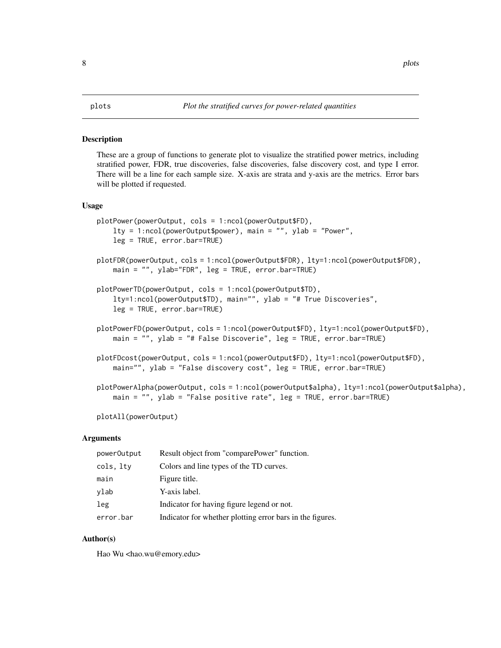#### <span id="page-7-0"></span>Description

These are a group of functions to generate plot to visualize the stratified power metrics, including stratified power, FDR, true discoveries, false discoveries, false discovery cost, and type I error. There will be a line for each sample size. X-axis are strata and y-axis are the metrics. Error bars will be plotted if requested.

#### Usage

```
plotPower(powerOutput, cols = 1:ncol(powerOutput$FD),
   lty = 1:ncol(powerOutput$power), main = "", ylab = "Power",leg = TRUE, error.bar=TRUE)
plotFDR(powerOutput, cols = 1:ncol(powerOutput$FDR), lty=1:ncol(powerOutput$FDR),
   main = "", ylab="FDR", leg = TRUE, error.bar=TRUE)
plotPowerTD(powerOutput, cols = 1:ncol(powerOutput$TD),
    lty=1:ncol(powerOutput$TD), main="", ylab = "# True Discoveries",
    leg = TRUE, error.bar=TRUE)
plotPowerFD(powerOutput, cols = 1:ncol(powerOutput$FD), lty=1:ncol(powerOutput$FD),
   main = "", ylab = "# False Discoverie", leg = TRUE, error.bar=TRUE)
plotFDcost(powerOutput, cols = 1:ncol(powerOutput$FD), lty=1:ncol(powerOutput$FD),
   main="", ylab = "False discovery cost", leg = TRUE, error.bar=TRUE)
plotPowerAlpha(powerOutput, cols = 1:ncol(powerOutput$alpha), lty=1:ncol(powerOutput$alpha),
   main = "", ylab = "False positive rate", leg = TRUE, error.bar=TRUE)
```
plotAll(powerOutput)

#### Arguments

| powerOutput | Result object from "comparePower" function.               |
|-------------|-----------------------------------------------------------|
| cols, lty   | Colors and line types of the TD curves.                   |
| main        | Figure title.                                             |
| ylab        | Y-axis label.                                             |
| leg         | Indicator for having figure legend or not.                |
| error.bar   | Indicator for whether plotting error bars in the figures. |

#### Author(s)

Hao Wu <hao.wu@emory.edu>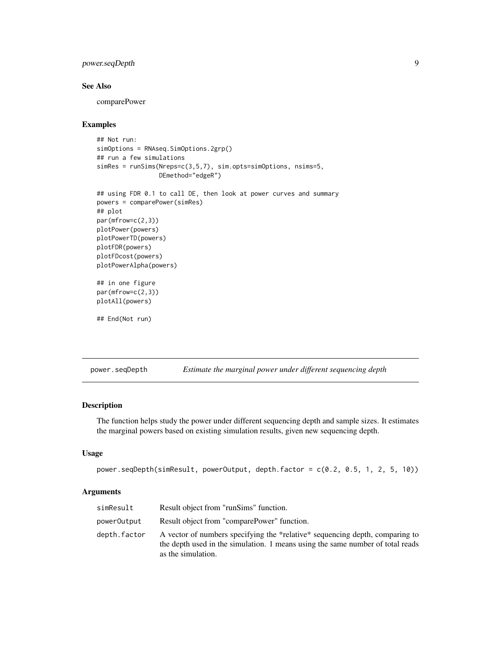#### <span id="page-8-0"></span>power.seqDepth 9

#### See Also

comparePower

#### Examples

```
## Not run:
simOptions = RNAseq.SimOptions.2grp()
## run a few simulations
simRes = runSims(Nreps=c(3,5,7), sim.opts=simOptions, nsims=5,
                 DEmethod="edgeR")
```

```
## using FDR 0.1 to call DE, then look at power curves and summary
powers = comparePower(simRes)
## plot
par(mfrow=c(2,3))
plotPower(powers)
plotPowerTD(powers)
plotFDR(powers)
plotFDcost(powers)
plotPowerAlpha(powers)
## in one figure
```

```
par(mfrow=c(2,3))
plotAll(powers)
```

```
## End(Not run)
```
power.seqDepth *Estimate the marginal power under different sequencing depth*

#### Description

The function helps study the power under different sequencing depth and sample sizes. It estimates the marginal powers based on existing simulation results, given new sequencing depth.

#### Usage

```
power.seqDepth(simResult, powerOutput, depth.factor = c(0.2, 0.5, 1, 2, 5, 10))
```
#### Arguments

| simResult    | Result object from "runSims" function.                                                                                                                                               |
|--------------|--------------------------------------------------------------------------------------------------------------------------------------------------------------------------------------|
| powerOutput  | Result object from "comparePower" function.                                                                                                                                          |
| depth.factor | A vector of numbers specifying the *relative* sequencing depth, comparing to<br>the depth used in the simulation. 1 means using the same number of total reads<br>as the simulation. |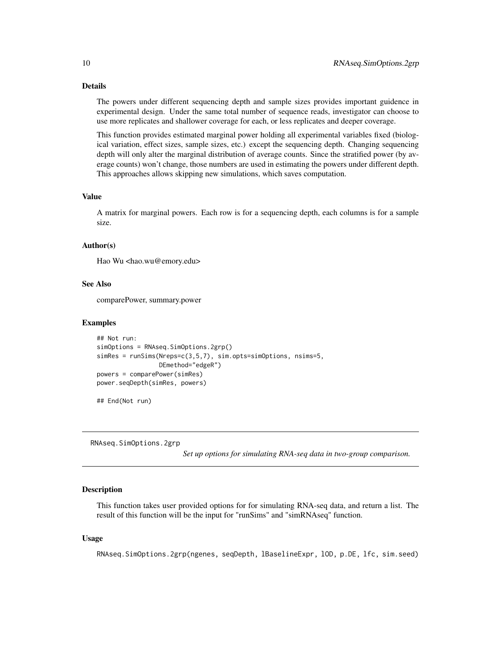#### <span id="page-9-0"></span>Details

The powers under different sequencing depth and sample sizes provides important guidence in experimental design. Under the same total number of sequence reads, investigator can choose to use more replicates and shallower coverage for each, or less replicates and deeper coverage.

This function provides estimated marginal power holding all experimental variables fixed (biological variation, effect sizes, sample sizes, etc.) except the sequencing depth. Changing sequencing depth will only alter the marginal distribution of average counts. Since the stratified power (by average counts) won't change, those numbers are used in estimating the powers under different depth. This approaches allows skipping new simulations, which saves computation.

#### Value

A matrix for marginal powers. Each row is for a sequencing depth, each columns is for a sample size.

#### Author(s)

Hao Wu <hao.wu@emory.edu>

#### See Also

comparePower, summary.power

#### Examples

```
## Not run:
simOptions = RNAseq.SimOptions.2grp()
simRes = runSims(Nreps=c(3,5,7), sim.opts=simOptions, nsims=5,
                 DEmethod="edgeR")
powers = comparePower(simRes)
power.seqDepth(simRes, powers)
```
## End(Not run)

RNAseq.SimOptions.2grp

*Set up options for simulating RNA-seq data in two-group comparison.*

#### Description

This function takes user provided options for for simulating RNA-seq data, and return a list. The result of this function will be the input for "runSims" and "simRNAseq" function.

#### Usage

RNAseq.SimOptions.2grp(ngenes, seqDepth, lBaselineExpr, lOD, p.DE, lfc, sim.seed)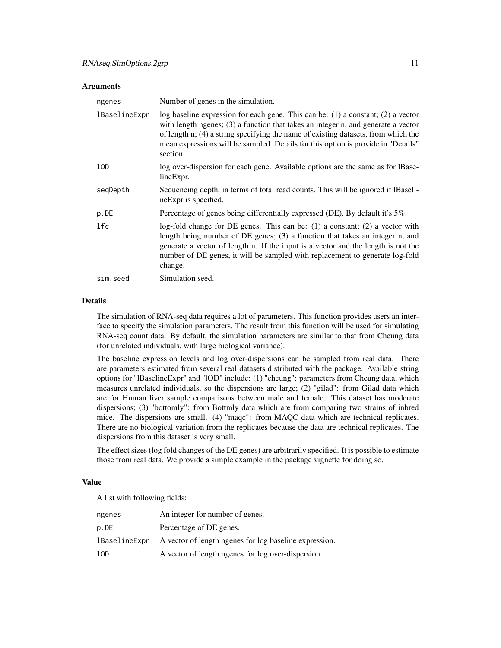#### **Arguments**

| ngenes        | Number of genes in the simulation.                                                                                                                                                                                                                                                                                                                               |
|---------------|------------------------------------------------------------------------------------------------------------------------------------------------------------------------------------------------------------------------------------------------------------------------------------------------------------------------------------------------------------------|
| lBaselineExpr | log baseline expression for each gene. This can be: $(1)$ a constant; $(2)$ a vector<br>with length ngenes; (3) a function that takes an integer n, and generate a vector<br>of length n; (4) a string specifying the name of existing datasets, from which the<br>mean expressions will be sampled. Details for this option is provide in "Details"<br>section. |
| 10D           | log over-dispersion for each gene. Available options are the same as for IBase-<br>line Expr.                                                                                                                                                                                                                                                                    |
| segDepth      | Sequencing depth, in terms of total read counts. This will be ignored if IBaseli-<br>neExpr is specified.                                                                                                                                                                                                                                                        |
| p.DE          | Percentage of genes being differentially expressed (DE). By default it's 5%.                                                                                                                                                                                                                                                                                     |
| 1fc           | log-fold change for DE genes. This can be: $(1)$ a constant; $(2)$ a vector with<br>length being number of DE genes; (3) a function that takes an integer n, and<br>generate a vector of length n. If the input is a vector and the length is not the<br>number of DE genes, it will be sampled with replacement to generate log-fold<br>change.                 |
| sim.seed      | Simulation seed.                                                                                                                                                                                                                                                                                                                                                 |

#### Details

The simulation of RNA-seq data requires a lot of parameters. This function provides users an interface to specify the simulation parameters. The result from this function will be used for simulating RNA-seq count data. By default, the simulation parameters are similar to that from Cheung data (for unrelated individuals, with large biological variance).

The baseline expression levels and log over-dispersions can be sampled from real data. There are parameters estimated from several real datasets distributed with the package. Available string options for "lBaselineExpr" and "lOD" include: (1) "cheung": parameters from Cheung data, which measures unrelated individuals, so the dispersions are large; (2) "gilad": from Gilad data which are for Human liver sample comparisons between male and female. This dataset has moderate dispersions; (3) "bottomly": from Bottmly data which are from comparing two strains of inbred mice. The dispersions are small. (4) "maqc": from MAQC data which are technical replicates. There are no biological variation from the replicates because the data are technical replicates. The dispersions from this dataset is very small.

The effect sizes (log fold changes of the DE genes) are arbitrarily specified. It is possible to estimate those from real data. We provide a simple example in the package vignette for doing so.

#### Value

A list with following fields:

| ngenes        | An integer for number of genes.                        |
|---------------|--------------------------------------------------------|
| p.DE          | Percentage of DE genes.                                |
| lBaselineExpr | A vector of length ngenes for log baseline expression. |
| 10D           | A vector of length ngenes for log over-dispersion.     |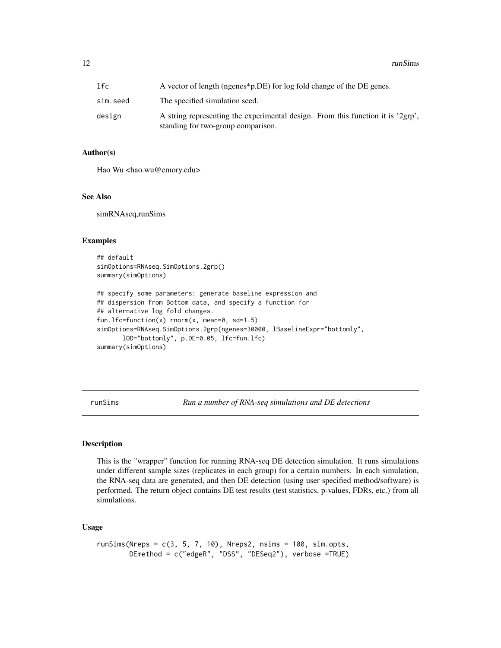<span id="page-11-0"></span>

| lfc.     | A vector of length (ngenes*p.DE) for log fold change of the DE genes.                                                 |
|----------|-----------------------------------------------------------------------------------------------------------------------|
| sim.seed | The specified simulation seed.                                                                                        |
| design   | A string representing the experimental design. From this function it is '2grp',<br>standing for two-group comparison. |

#### Author(s)

Hao Wu <hao.wu@emory.edu>

#### See Also

simRNAseq,runSims

#### Examples

```
## default
simOptions=RNAseq.SimOptions.2grp()
summary(simOptions)
```

```
## specify some parameters: generate baseline expression and
## dispersion from Bottom data, and specify a function for
## alternative log fold changes.
fun.lfc=function(x) rnorm(x, mean=0, sd=1.5)
simOptions=RNAseq.SimOptions.2grp(ngenes=30000, lBaselineExpr="bottomly",
      lOD="bottomly", p.DE=0.05, lfc=fun.lfc)
summary(simOptions)
```
runSims *Run a number of RNA-seq simulations and DE detections*

#### Description

This is the "wrapper" function for running RNA-seq DE detection simulation. It runs simulations under different sample sizes (replicates in each group) for a certain numbers. In each simulation, the RNA-seq data are generated, and then DE detection (using user specified method/software) is performed. The return object contains DE test results (test statistics, p-values, FDRs, etc.) from all simulations.

#### Usage

```
runSims(Nreps = c(3, 5, 7, 10), Nreps2, nsims = <math>100</math>, sim.opts,DEmethod = c("edgeR", "DSS", "DESeq2"), verbose =TRUE)
```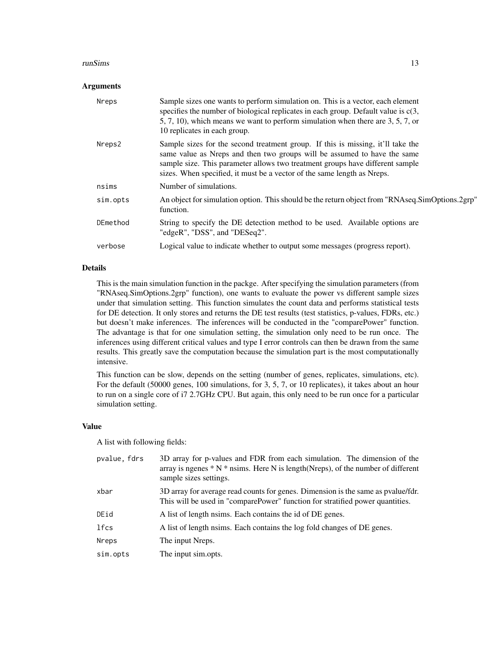#### runSims and the contract of the contract of the contract of the contract of the contract of the contract of the contract of the contract of the contract of the contract of the contract of the contract of the contract of th

#### **Arguments**

| <b>Nreps</b> | Sample sizes one wants to perform simulation on. This is a vector, each element<br>specifies the number of biological replicates in each group. Default value is $c(3, 1)$<br>5, 7, 10), which means we want to perform simulation when there are 3, 5, 7, or<br>10 replicates in each group.                           |
|--------------|-------------------------------------------------------------------------------------------------------------------------------------------------------------------------------------------------------------------------------------------------------------------------------------------------------------------------|
| Nreps2       | Sample sizes for the second treatment group. If this is missing, it'll take the<br>same value as Nreps and then two groups will be assumed to have the same<br>sample size. This parameter allows two treatment groups have different sample<br>sizes. When specified, it must be a vector of the same length as Nreps. |
| nsims        | Number of simulations.                                                                                                                                                                                                                                                                                                  |
| sim.opts     | An object for simulation option. This should be the return object from "RNAseq.SimOptions.2grp"<br>function.                                                                                                                                                                                                            |
| DEmethod     | String to specify the DE detection method to be used. Available options are<br>"edgeR", "DSS", and "DESeq2".                                                                                                                                                                                                            |
| verbose      | Logical value to indicate whether to output some messages (progress report).                                                                                                                                                                                                                                            |

#### Details

This is the main simulation function in the packge. After specifying the simulation parameters (from "RNAseq.SimOptions.2grp" function), one wants to evaluate the power vs different sample sizes under that simulation setting. This function simulates the count data and performs statistical tests for DE detection. It only stores and returns the DE test results (test statistics, p-values, FDRs, etc.) but doesn't make inferences. The inferences will be conducted in the "comparePower" function. The advantage is that for one simulation setting, the simulation only need to be run once. The inferences using different critical values and type I error controls can then be drawn from the same results. This greatly save the computation because the simulation part is the most computationally intensive.

This function can be slow, depends on the setting (number of genes, replicates, simulations, etc). For the default (50000 genes, 100 simulations, for 3, 5, 7, or 10 replicates), it takes about an hour to run on a single core of i7 2.7GHz CPU. But again, this only need to be run once for a particular simulation setting.

#### Value

A list with following fields:

| pvalue, fdrs | 3D array for p-values and FDR from each simulation. The dimension of the<br>array is ngenes $* N *$ nsims. Here N is length (Nreps), of the number of different<br>sample sizes settings. |
|--------------|-------------------------------------------------------------------------------------------------------------------------------------------------------------------------------------------|
| xbar         | 3D array for average read counts for genes. Dimension is the same as pvalue/fdr.<br>This will be used in "comparePower" function for stratified power quantities.                         |
| DEid         | A list of length names. Each contains the id of DE genes.                                                                                                                                 |
| lfcs         | A list of length names. Each contains the log fold changes of DE genes.                                                                                                                   |
| Nreps        | The input Nreps.                                                                                                                                                                          |
| sim.opts     | The input sim.opts.                                                                                                                                                                       |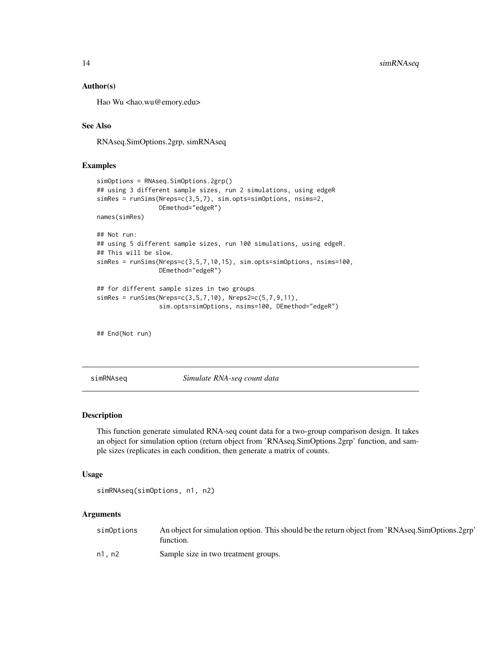#### <span id="page-13-0"></span>Author(s)

Hao Wu <hao.wu@emory.edu>

### See Also

RNAseq.SimOptions.2grp, simRNAseq

#### Examples

```
simOptions = RNAseq.SimOptions.2grp()
## using 3 different sample sizes, run 2 simulations, using edgeR
simRes = runSims(Nreps=c(3,5,7), sim.opts=simOptions, nsims=2,
                 DEmethod="edgeR")
names(simRes)
## Not run:
## using 5 different sample sizes, run 100 simulations, using edgeR.
## This will be slow.
simRes = runSims(Nreps=c(3,5,7,10,15), sim.opts=simOptions, nsims=100,
                 DEmethod="edgeR")
## for different sample sizes in two groups
simRes = runSims(Nreps=c(3,5,7,10), Nreps2=c(5,7,9,11),
                 sim.opts=simOptions, nsims=100, DEmethod="edgeR")
```
## End(Not run)

simRNAseq *Simulate RNA-seq count data*

#### Description

This function generate simulated RNA-seq count data for a two-group comparison design. It takes an object for simulation option (return object from 'RNAseq.SimOptions.2grp' function, and sample sizes (replicates in each condition, then generate a matrix of counts.

#### Usage

```
simRNAseq(simOptions, n1, n2)
```
#### Arguments

| simOptions | An object for simulation option. This should be the return object from 'RNAseq.SimOptions.2grp'<br>function. |
|------------|--------------------------------------------------------------------------------------------------------------|
| n1. n2     | Sample size in two treatment groups.                                                                         |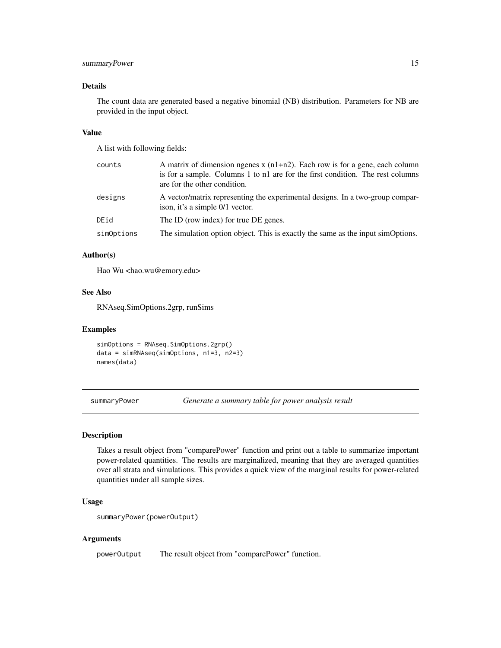#### <span id="page-14-0"></span>summaryPower 15

#### Details

The count data are generated based a negative binomial (NB) distribution. Parameters for NB are provided in the input object.

#### Value

A list with following fields:

| counts     | A matrix of dimension ngenes $x$ (n1+n2). Each row is for a gene, each column<br>is for a sample. Columns 1 to n1 are for the first condition. The rest columns<br>are for the other condition. |
|------------|-------------------------------------------------------------------------------------------------------------------------------------------------------------------------------------------------|
| designs    | A vector/matrix representing the experimental designs. In a two-group compar-<br>ison, it's a simple 0/1 vector.                                                                                |
| DEid       | The ID (row index) for true DE genes.                                                                                                                                                           |
| simOptions | The simulation option object. This is exactly the same as the input simOptions.                                                                                                                 |

#### Author(s)

Hao Wu <hao.wu@emory.edu>

#### See Also

RNAseq.SimOptions.2grp, runSims

#### Examples

simOptions = RNAseq.SimOptions.2grp() data = simRNAseq(simOptions, n1=3, n2=3) names(data)

summaryPower *Generate a summary table for power analysis result*

#### Description

Takes a result object from "comparePower" function and print out a table to summarize important power-related quantities. The results are marginalized, meaning that they are averaged quantities over all strata and simulations. This provides a quick view of the marginal results for power-related quantities under all sample sizes.

#### Usage

```
summaryPower(powerOutput)
```
#### Arguments

powerOutput The result object from "comparePower" function.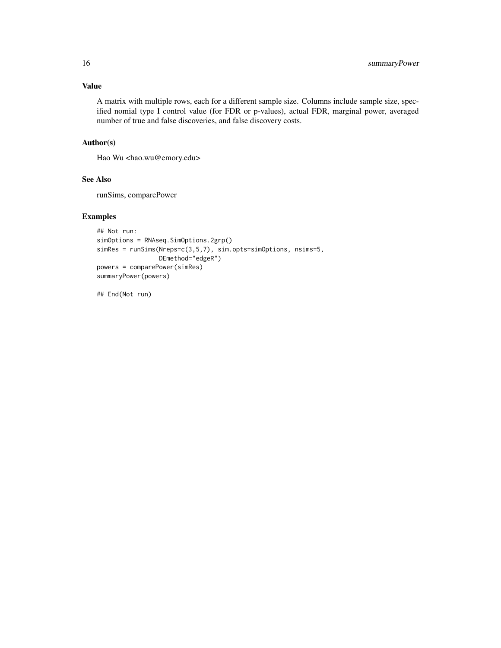### Value

A matrix with multiple rows, each for a different sample size. Columns include sample size, specified nomial type I control value (for FDR or p-values), actual FDR, marginal power, averaged number of true and false discoveries, and false discovery costs.

#### Author(s)

Hao Wu <hao.wu@emory.edu>

#### See Also

runSims, comparePower

#### Examples

```
## Not run:
simOptions = RNAseq.SimOptions.2grp()
simRes = runSims(Nreps=c(3,5,7), sim.opts=simOptions, nsims=5,
                DEmethod="edgeR")
powers = comparePower(simRes)
summaryPower(powers)
```
## End(Not run)